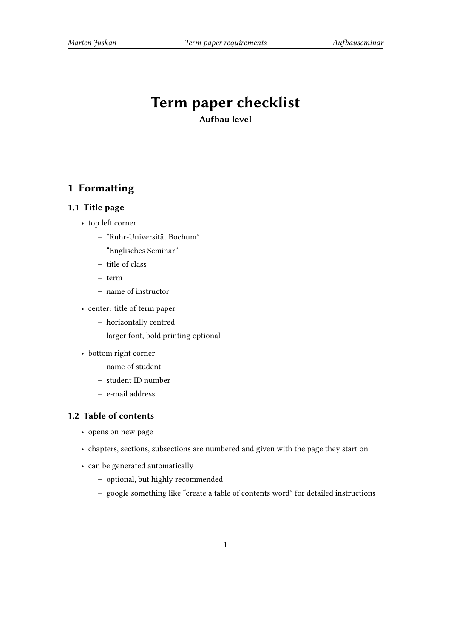# **Term paper checklist**

**Aufbau level**

# **1 Formatting**

#### **1.1 Title page**

- top left corner
	- **–** "Ruhr-Universität Bochum"
	- **–** "Englisches Seminar"
	- **–** title of class
	- **–** term
	- **–** name of instructor
- center: title of term paper
	- **–** horizontally centred
	- **–** larger font, bold printing optional
- bottom right corner
	- **–** name of student
	- **–** student ID number
	- **–** e-mail address

#### **1.2 Table of contents**

- opens on new page
- chapters, sections, subsections are numbered and given with the page they start on
- can be generated automatically
	- **–** optional, but highly recommended
	- **–** google something like "create a table of contents word" for detailed instructions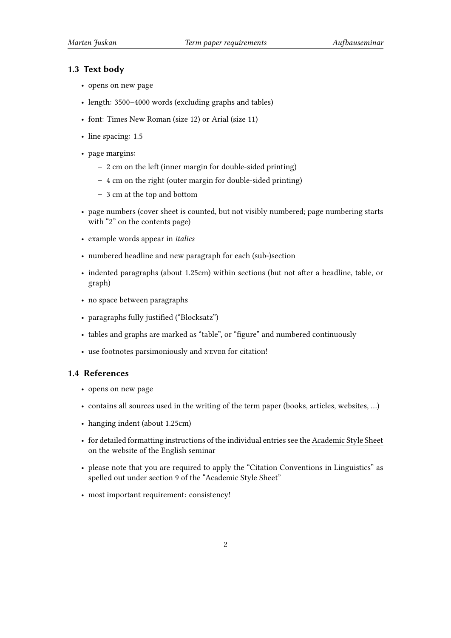### **1.3 Text body**

- opens on new page
- length: 3500–4000 words (excluding graphs and tables)
- font: Times New Roman (size 12) or Arial (size 11)
- line spacing: 1.5
- page margins:
	- **–** 2 cm on the left (inner margin for double-sided printing)
	- **–** 4 cm on the right (outer margin for double-sided printing)
	- **–** 3 cm at the top and bottom
- page numbers (cover sheet is counted, but not visibly numbered; page numbering starts with "2" on the contents page)
- example words appear in *italics*
- numbered headline and new paragraph for each (sub-)section
- indented paragraphs (about 1.25cm) within sections (but not after a headline, table, or graph)
- no space between paragraphs
- paragraphs fully justified ("Blocksatz")
- tables and graphs are marked as "table", or "figure" and numbered continuously
- use footnotes parsimoniously and never for citation!

### **1.4 References**

- opens on new page
- contains all sources used in the writing of the term paper (books, articles, websites, …)
- hanging indent (about 1.25cm)
- for detailed formatting instructions of the individual entries see the Academic Style Sheet on the website of the English seminar
- please note that you are required to apply the "Citation Conventions in Linguistics" as spelled out under section 9 of the "Academic Style Sheet"
- most important requirement: consistency!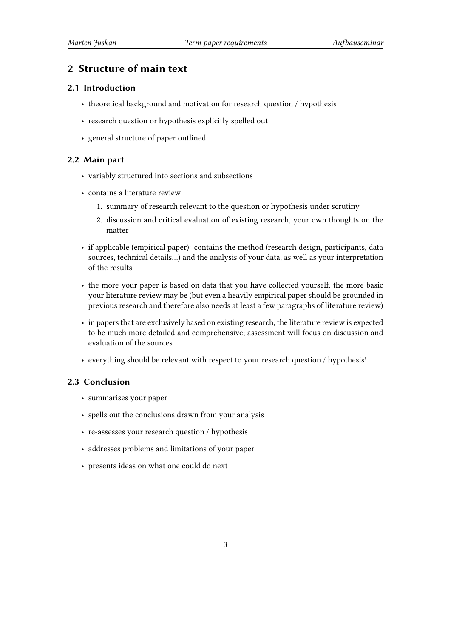## **2 Structure of main text**

#### **2.1 Introduction**

- theoretical background and motivation for research question / hypothesis
- research question or hypothesis explicitly spelled out
- general structure of paper outlined

#### **2.2 Main part**

- variably structured into sections and subsections
- contains a literature review
	- 1. summary of research relevant to the question or hypothesis under scrutiny
	- 2. discussion and critical evaluation of existing research, your own thoughts on the matter
- if applicable (empirical paper): contains the method (research design, participants, data sources, technical details…) and the analysis of your data, as well as your interpretation of the results
- the more your paper is based on data that you have collected yourself, the more basic your literature review may be (but even a heavily empirical paper should be grounded in previous research and therefore also needs at least a few paragraphs of literature review)
- in papers that are exclusively based on existing research, the literature review is expected to be much more detailed and comprehensive; assessment will focus on discussion and evaluation of the sources
- everything should be relevant with respect to your research question / hypothesis!

#### **2.3 Conclusion**

- summarises your paper
- spells out the conclusions drawn from your analysis
- re-assesses your research question / hypothesis
- addresses problems and limitations of your paper
- presents ideas on what one could do next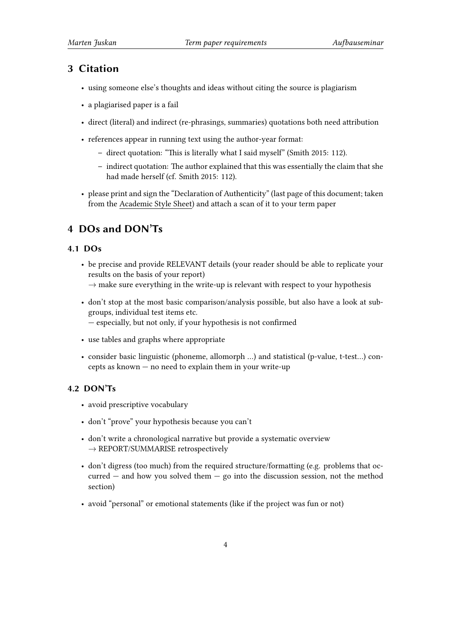# **3 Citation**

- using someone else's thoughts and ideas without citing the source is plagiarism
- a plagiarised paper is a fail
- direct (literal) and indirect (re-phrasings, summaries) quotations both need attribution
- references appear in running text using the author-year format:
	- **–** direct quotation: "This is literally what I said myself" (Smith 2015: 112).
	- **–** indirect quotation: The author explained that this was essentially the claim that she had made herself (cf. Smith 2015: 112).
- please print and sign the "Declaration of Authenticity" (last page of this document; taken from the Academic Style Sheet) and attach a scan of it to your term paper

# **4 DOs and DON'Ts**

## **4.1 DOs**

- be precise and provide RELEVANT details (your reader should be able to replicate your results on the basis of your report)
	- *→* make sure everything in the write-up is relevant with respect to your hypothesis
- don't stop at the most basic comparison/analysis possible, but also have a look at subgroups, individual test items etc.
	- especially, but not only, if your hypothesis is not confirmed
- use tables and graphs where appropriate
- consider basic linguistic (phoneme, allomorph …) and statistical (p-value, t-test…) concepts as known — no need to explain them in your write-up

## **4.2 DON'Ts**

- avoid prescriptive vocabulary
- don't "prove" your hypothesis because you can't
- don't write a chronological narrative but provide a systematic overview *→* REPORT/SUMMARISE retrospectively
- don't digress (too much) from the required structure/formatting (e.g. problems that oc $current - and how you solved them - go into the discussion session, not the method$ section)
- avoid "personal" or emotional statements (like if the project was fun or not)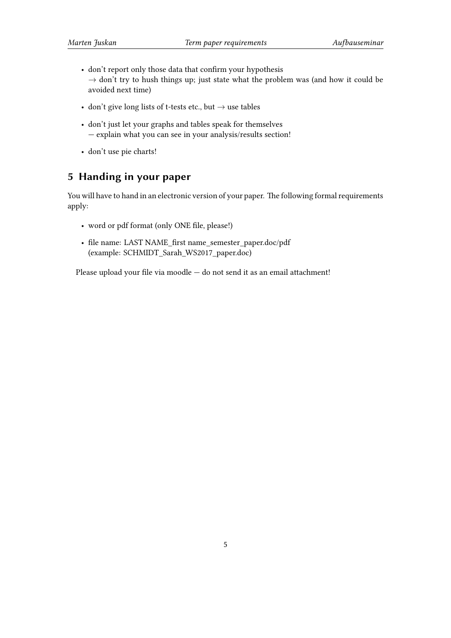- don't report only those data that confirm your hypothesis *→* don't try to hush things up; just state what the problem was (and how it could be avoided next time)
- don't give long lists of t-tests etc., but *→* use tables
- don't just let your graphs and tables speak for themselves — explain what you can see in your analysis/results section!
- don't use pie charts!

# **5 Handing in your paper**

You will have to hand in an electronic version of your paper. The following formal requirements apply:

- word or pdf format (only ONE file, please!)
- file name: LAST NAME\_first name\_semester\_paper.doc/pdf (example: SCHMIDT\_Sarah\_WS2017\_paper.doc)

Please upload your file via moodle — do not send it as an email attachment!